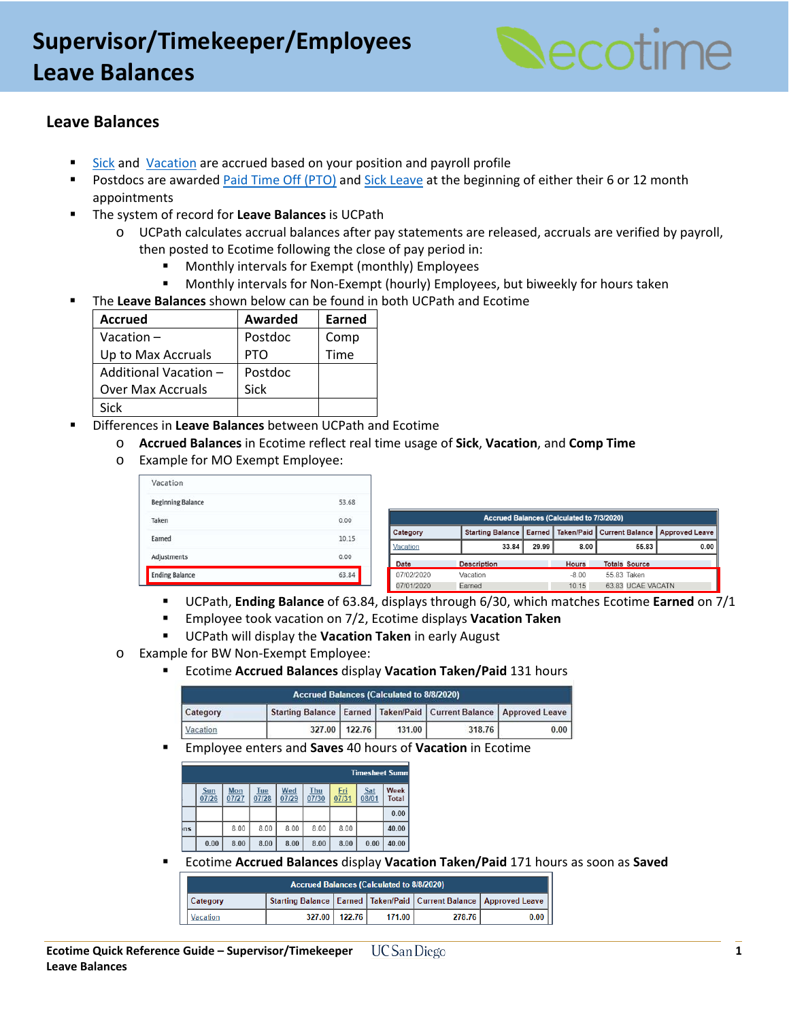# **Supervisor/Timekeeper/Employees Leave Balances**



### **Leave Balances**

- [Sick](https://blink.ucsd.edu/HR/benefits/time-off/leaves/sick.html) and [Vacation](https://blink.ucsd.edu/HR/benefits/time-off/vacation.html) are accrued based on your position and payroll profile
- **Postdocs are awarded [Paid Time Off \(PTO\)](https://postdoc.ucsd.edu/postdocs/leaves-time-off.html#Personal-Time-Off-(PTO)) and [Sick Leave](https://postdoc.ucsd.edu/postdocs/leaves-time-off.html#Sick-Leave) at the beginning of either their 6 or 12 month** appointments
- The system of record for **Leave Balances** is UCPath
	- o UCPath calculates accrual balances after pay statements are released, accruals are verified by payroll, then posted to Ecotime following the close of pay period in:
		- **Monthly intervals for Exempt (monthly) Employees**
		- Monthly intervals for Non-Exempt (hourly) Employees, but biweekly for hours taken
- The **Leave Balances** shown below can be found in both UCPath and Ecotime

| <b>Accrued</b>           | Awarded    | Earned |
|--------------------------|------------|--------|
| Vacation $-$             | Postdoc    | Comp   |
| Up to Max Accruals       | <b>PTO</b> | Time   |
| Additional Vacation -    | Postdoc    |        |
| <b>Over Max Accruals</b> | Sick       |        |
| Sick                     |            |        |

- Differences in **Leave Balances** between UCPath and Ecotime
	- o **Accrued Balances** in Ecotime reflect real time usage of **Sick**, **Vacation**, and **Comp Time**
	- o Example for MO Exempt Employee:

| Vacation                 |       |
|--------------------------|-------|
| <b>Beginning Balance</b> | 53.68 |
| Taken                    | 0.00  |
| Earned                   | 10.15 |
| Adjustments              | 0.00  |
| <b>Ending Balance</b>    | 63.84 |

| <b>Accrued Balances (Calculated to 7/3/2020)</b> |                           |       |         |  |                      |                                               |  |  |  |  |
|--------------------------------------------------|---------------------------|-------|---------|--|----------------------|-----------------------------------------------|--|--|--|--|
| Category                                         | Starting Balance   Earned |       |         |  |                      | Taken/Paid   Current Balance   Approved Leave |  |  |  |  |
| Vacation                                         | 33.84                     | 29.99 | 8.00    |  | 55.83                | 0.00                                          |  |  |  |  |
| Date                                             | <b>Description</b>        |       | Hours   |  | <b>Totals Source</b> |                                               |  |  |  |  |
| 07/02/2020                                       | Vacation                  |       | $-8.00$ |  | 55 83 Taken          |                                               |  |  |  |  |
| 07/01/2020                                       | Earned                    |       | 10.15   |  | 63 83 UCAE VACATN    |                                               |  |  |  |  |

- UCPath, **Ending Balance** of 63.84, displays through 6/30, which matches Ecotime **Earned** on 7/1
- Employee took vacation on 7/2, Ecotime displays **Vacation Taken**
- UCPath will display the **Vacation Taken** in early August
- o Example for BW Non-Exempt Employee:
	- Ecotime **Accrued Balances** display **Vacation Taken/Paid** 131 hours

| <b>Accrued Balances (Calculated to 8/8/2020)</b> |  |               |        |        |                                                                           |  |  |  |  |  |
|--------------------------------------------------|--|---------------|--------|--------|---------------------------------------------------------------------------|--|--|--|--|--|
| Category                                         |  |               |        |        | Starting Balance   Earned   Taken/Paid   Current Balance   Approved Leave |  |  |  |  |  |
| Vacation                                         |  | 327.00 122.76 | 131.00 | 318.76 | 0.00                                                                      |  |  |  |  |  |

Employee enters and **Saves** 40 hours of **Vacation** in Ecotime

|     | <b>Timesheet Summ</b> |              |              |              |              |              |              |               |  |  |  |  |
|-----|-----------------------|--------------|--------------|--------------|--------------|--------------|--------------|---------------|--|--|--|--|
|     | Sun<br>07/26          | Mon<br>07/27 | Tue<br>07/28 | Wed<br>07/29 | Thu<br>07/30 | Fri<br>07/31 | Sat<br>08/01 | Week<br>Total |  |  |  |  |
|     |                       |              |              |              |              |              |              | 0.00          |  |  |  |  |
| ♭ns |                       | 8.00         | 8.00         | 8.00         | 8.00         | 8.00         |              | 40.00         |  |  |  |  |
|     | 0.00                  | 8.00         | 8.00         | 8.00         | 8.00         | 8.00         | 0.00         | 40.00         |  |  |  |  |

Ecotime **Accrued Balances** display **Vacation Taken/Paid** 171 hours as soon as **Saved** 

| <b>Accrued Balances (Calculated to 8/8/2020)</b> |  |                 |        |        |                                                                           |  |  |  |  |
|--------------------------------------------------|--|-----------------|--------|--------|---------------------------------------------------------------------------|--|--|--|--|
| <b>Category</b>                                  |  |                 |        |        | Starting Balance   Earned   Taken/Paid   Current Balance   Approved Leave |  |  |  |  |
| Vacation                                         |  | 327.00   122.76 | 171.00 | 278.76 | $0.00$                                                                    |  |  |  |  |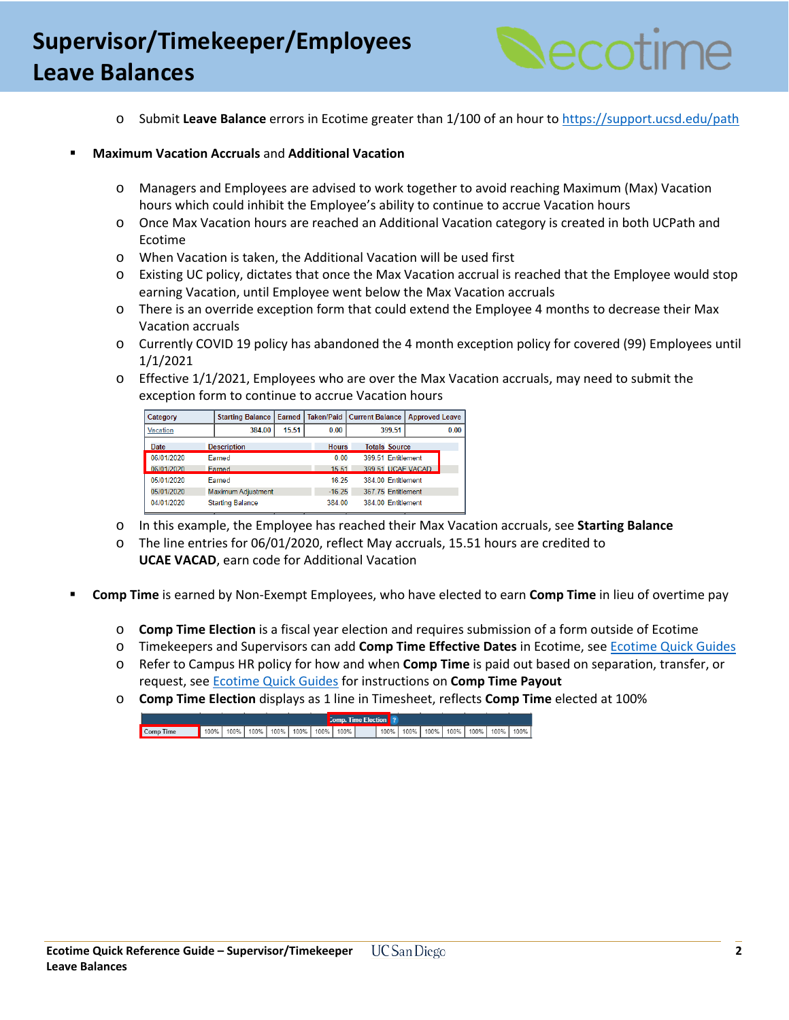### **Supervisor/Timekeeper/Employees Leave Balances**



o Submit **Leave Balance** errors in Ecotime greater than 1/100 of an hour to<https://support.ucsd.edu/path>

#### **Maximum Vacation Accruals** and **Additional Vacation**

- o Managers and Employees are advised to work together to avoid reaching Maximum (Max) Vacation hours which could inhibit the Employee's ability to continue to accrue Vacation hours
- o Once Max Vacation hours are reached an Additional Vacation category is created in both UCPath and Ecotime
- o When Vacation is taken, the Additional Vacation will be used first
- o Existing UC policy, dictates that once the Max Vacation accrual is reached that the Employee would stop earning Vacation, until Employee went below the Max Vacation accruals
- o There is an override exception form that could extend the Employee 4 months to decrease their Max Vacation accruals
- o Currently COVID 19 policy has abandoned the 4 month exception policy for covered (99) Employees until 1/1/2021
- o Effective 1/1/2021, Employees who are over the Max Vacation accruals, may need to submit the exception form to continue to accrue Vacation hours

| Category   | <b>Starting Balance</b> |       |              | Earned   Taken/Paid   Current Balance | <b>Approved Leave</b> |      |
|------------|-------------------------|-------|--------------|---------------------------------------|-----------------------|------|
| Vacation   | 384.00                  | 15.51 | 0.00         | 399.51                                |                       | 0.00 |
| Date       | <b>Description</b>      |       | <b>Hours</b> | <b>Totals Source</b>                  |                       |      |
| 06/01/2020 | Farned                  |       | 0.00         | 399.51 Entitlement                    |                       |      |
| 06/01/2020 | Farned                  |       | 15.51        | 399 51 UCAF VACAD                     |                       |      |
| 05/01/2020 | Earned                  |       | 16.25        | 384.00 Entitlement                    |                       |      |
| 05/01/2020 | Maximum Adiustment      |       | $-16.25$     | 367.75 Entitlement                    |                       |      |
| 04/01/2020 | <b>Starting Balance</b> |       | 384 00       | 384.00 Entitlement                    |                       |      |

- o In this example, the Employee has reached their Max Vacation accruals, see **Starting Balance**
- o The line entries for 06/01/2020, reflect May accruals, 15.51 hours are credited to **UCAE VACAD**, earn code for Additional Vacation
- **Comp Time** is earned by Non-Exempt Employees, who have elected to earn **Comp Time** in lieu of overtime pay
	- o **Comp Time Election** is a fiscal year election and requires submission of a form outside of Ecotime
	- o Timekeepers and Supervisors can add **Comp Time Effective Dates** in Ecotime, see [Ecotime Quick Guides](https://blink.ucsd.edu/finance/payroll/timekeeping/ecotime/training.html#Quick-Guides)
	- o Refer to Campus HR policy for how and when **Comp Time** is paid out based on separation, transfer, or request, see [Ecotime Quick Guides](https://blink.ucsd.edu/finance/payroll/timekeeping/ecotime/training.html#Quick-Guides) for instructions on **Comp Time Payout**
	- o **Comp Time Election** displays as 1 line in Timesheet, reflects **Comp Time** elected at 100%

|           |      |  |                                  |  | <b>Comp. Time Election</b> ? |      |  |  |                                  |      |  |
|-----------|------|--|----------------------------------|--|------------------------------|------|--|--|----------------------------------|------|--|
| Comp Time | 100% |  | 100%   100%   100%   100%   100% |  | $100\%$                      | 100% |  |  | 100%   100%   100%   100%   100% | 100% |  |
|           |      |  |                                  |  |                              |      |  |  |                                  |      |  |